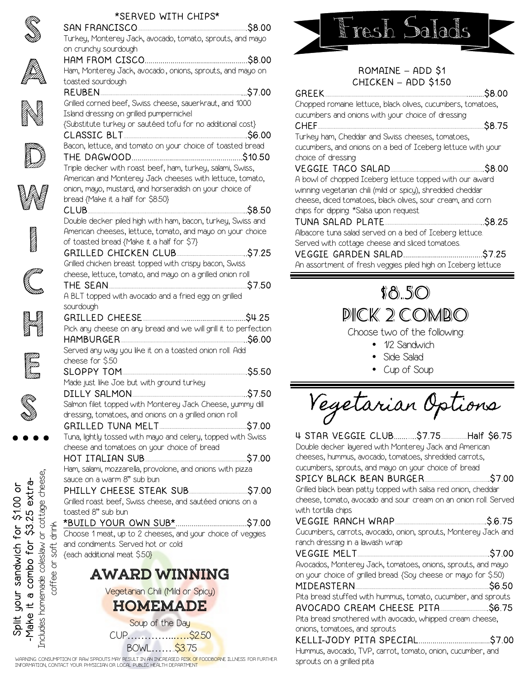

(FA)<br>T

N

**D** 

W

**In the case of the case of the case of the case of the case of the case of the case of the case of the case o** 

**Cambridge**<br>Cambridge

H

ETTI<br>ETTI<br>ETTIER

S<br>S

## \*SERVED WITH CHIPS\*





### ROMAINE **–** ADD \$1 CHICKEN **–** ADD \$1.50

GREEK...............................................................................................................................\$8.00

Chopped romaine lettuce, black olives, cucumbers, tomatoes, cucumbers and onions with your choice of dressing CHEF...........................................................................................................................................\$8.75 Turkey ham, Cheddar and Swiss cheeses, tomatoes,

cucumbers, and onions on a bed of Iceberg lettuce with your choice of dressing

### VEGGIE TACO SALAD..............................................................................\$8.00

A bowl of chopped Iceberg lettuce topped with our award winning vegetarian chili (mild or spicy), shredded cheddar cheese, diced tomatoes, black olives, sour cream, and corn chips for dipping. \*Salsa upon request

### TUNA SALAD PLATE..................................................................................\$8.25

Albacore tuna salad served on a bed of Iceberg lettuce. Served with cottage cheese and sliced tomatoes.

## VEGGIE GARDEN SALAD........................................\$7.25

An assortment of fresh veggies piled high on Iceberg lettuce



Choose two of the following:

- 1/2 Sandwich
- Side Salad
- Cup of Soup

Vegetarian Options

| Double decker layered with Monterey Jack and American<br>cheeses, hummus, avocado, tomatoes, shredded carrots,<br>cucumbers, sprouts, and mayo on your choice of bread |        |
|------------------------------------------------------------------------------------------------------------------------------------------------------------------------|--------|
| SPICY BLACK BEAN BURGER 37.00                                                                                                                                          |        |
| Grilled black bean patty topped with salsa red onion, cheddar                                                                                                          |        |
| cheese, tomato, avocado and sour cream on an onion roll. Served                                                                                                        |        |
| with tortilla chips                                                                                                                                                    |        |
|                                                                                                                                                                        |        |
| Cucumbers, carrots, avocado, onion, sprouts, Monterey Jack and                                                                                                         |        |
| ranch dressing in a lawash wrap                                                                                                                                        |        |
| VEGGIE MELT                                                                                                                                                            | \$7.00 |
| Avocados, Monterey Jack, tomatoes, onions, sprouts, and mayo                                                                                                           |        |
|                                                                                                                                                                        |        |
| on your choice of grilled bread. {Soy cheese or mayo for \$.50)                                                                                                        |        |
|                                                                                                                                                                        |        |
| Pita bread stuffed with hummus, tomato, cucumber, and sprouts                                                                                                          |        |
|                                                                                                                                                                        |        |
| Pita bread smothered with avocado, whipped cream cheese,                                                                                                               |        |
| onions, tomatoes, and sprouts                                                                                                                                          |        |
|                                                                                                                                                                        |        |
| Hummus, avocado, TVP, carrot, tomato, onion, cucumber, and                                                                                                             |        |

Includes homemade coleslaw or cottage cheese, cheese, extra--Make it a combo for \$3.25 extra-Split your sandwich for \$1.00 or Split your sandwich for \$1.00 or tage 25 cott  $\frac{3}{2}$  $\overline{\sigma}$ combo for coleslaw emade  $\overline{\boldsymbol{\sigma}}$ **POM**  $\pm$ -Make i ncludes

WARNING: CONSUMPTION OF RAW SPROUTS MAY RESULT IN AN INCREASED RI<mark>SK OF FOODBORN</mark>E ILLNESS. FOR FURTHER<br>INFORMATION, CONTACT YOUR PHYSICIAN OR LOCAL PUBLIC HEALTH DEPARTMENT

**HOMEMADE** Soup of the Day CUP…………...….\$2.50 BOWL……..\$3.75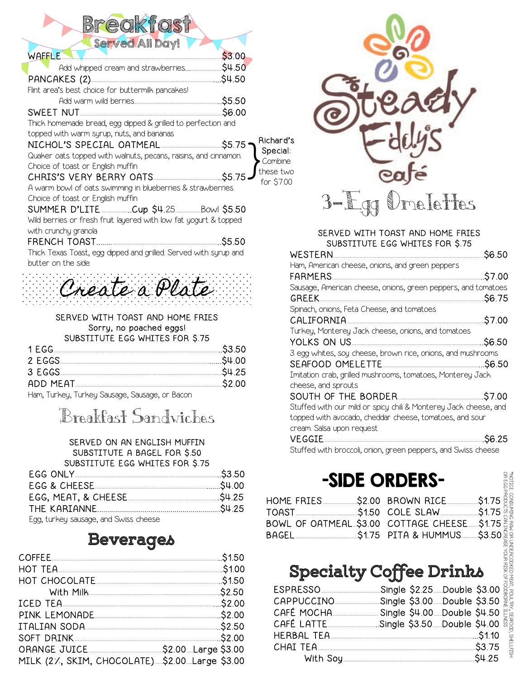| Bredktast |  |
|-----------|--|
|           |  |

| Served All Day!                                                                                                               |            |
|-------------------------------------------------------------------------------------------------------------------------------|------------|
| WAFFLE.                                                                                                                       | \$3.00     |
| Add whipped cream and strawberries\$4.50                                                                                      |            |
|                                                                                                                               |            |
| Flint area's best choice for buttermilk pancakes!                                                                             |            |
|                                                                                                                               |            |
|                                                                                                                               |            |
| Thick homemade bread, egg dipped & grilled to perfection and                                                                  |            |
| topped with warm syrup, nuts, and bananas                                                                                     | Richard's  |
| NICHOL'S SPECIAL OATMEAL <b>And All According the St.75</b>                                                                   | Special:   |
| Quaker oats topped with walnuts, pecans, raisins, and cinnamon.                                                               | Combine    |
| Choice of toast or English muffin                                                                                             | these two  |
| CHRIS'S VERY BERRY OATS <u>CHRIS'S</u> 5.75                                                                                   | for \$7.00 |
| A warm bowl of oats swimming in blueberries & strawberries.                                                                   |            |
| Choice of toast or English muffin                                                                                             |            |
| SUMMER D'LITE __________.Cup \$4.25 __________Bowl \$5.50<br>Wild berries or fresh fruit layered with low fat yogurt & topped |            |
| with crunchy granola                                                                                                          |            |
|                                                                                                                               | \$5.50     |
| Thick Texas Toast, egg dipped and grilled. Served with syrup and                                                              |            |
| butter on the side                                                                                                            |            |
|                                                                                                                               | F          |
|                                                                                                                               | S          |
|                                                                                                                               |            |

#### SERVED WITH TOAST AND HOME FRIES Sorry, no poached eggs! SUBSTITUTE EGG WHITES FOR \$.75

| 2 EGGS                                                                                                                                 |  |
|----------------------------------------------------------------------------------------------------------------------------------------|--|
| 3 EGGS                                                                                                                                 |  |
| ADD MEAT                                                                                                                               |  |
| $\blacksquare$ . The set of $\blacksquare$ . The set of $\Omega$ is a set of $\Omega$ is a set of $\blacksquare$ . The set of $\Omega$ |  |

Ham, Turkey, Turkey Sausage, Sausage, or Bacon

# Breakfast Sandwiches

#### SERVED ON AN ENGLISH MUFFIN SUBSTITUTE A BAGEL FOR \$.50 SUBSTITUTE EGG WHITES FOR \$.75

| EGG ONLY 23.50                                        |  |
|-------------------------------------------------------|--|
|                                                       |  |
|                                                       |  |
|                                                       |  |
|                                                       |  |
| $E \sim 1$ tuplicular courses and $\Omega$ issemboose |  |

Egg, turkey sausage, and Swiss cheese

## **Beverages**

| COFFEE 31.50                                                                                                   |  |
|----------------------------------------------------------------------------------------------------------------|--|
| HOT TEA                                                                                                        |  |
| HOT CHOCOLATE And ACCOUNT ACCOUNT AND ACCOUNT ACTION AND ACCOUNT ACTION AND ACTION AT A LOT OF A LOT OF A LOT  |  |
| With Milk 32.50                                                                                                |  |
| ICED TEA                                                                                                       |  |
| PINK LEMONADE 200                                                                                              |  |
| ITALIAN SODA SALLAH SODA SALLAH SALLAH SALLAH SODA SALLAH SALLAH SALLAH SALLAH SALLAH SALLAH SALLAH SALLAH SAL |  |
|                                                                                                                |  |
|                                                                                                                |  |
| MILK (2/, SKIM, CHOCOLATE)\$2.00. Large \$3.00                                                                 |  |



#### SERVED WITH TOAST AND HOME FRIES SUBSTITUTE EGG WHITES FOR \$.75

| <b>WESTERN</b>                                                         | \$6.50  |
|------------------------------------------------------------------------|---------|
| Ham, American cheese, onions, and green peppers                        |         |
| FARMERS.                                                               | \$7.00  |
| Sausage, American cheese, onions, green peppers, and tomatoes<br>GREEK | \$6.75  |
| Spinach, onions, Feta Cheese, and tomatoes                             |         |
| CALIFORNIA                                                             | \$7.00  |
| Turkey, Monterey Jack cheese, onions, and tomatoes                     |         |
| YOLKS ON US                                                            | \$6.50  |
| 3 egg whites, soy cheese, brown rice, onions, and mushrooms            |         |
| SEAFOOD OMELETTE                                                       | .\$6.50 |
| Imitation crab, grilled mushrooms, tomatoes, Monterey Jack             |         |
| cheese, and sprouts                                                    |         |
| SOUTH OF THE BORDER                                                    | \$7.00  |
| Stuffed with our mild or spicy chili & Monterey Jack cheese, and       |         |
| topped with avocado, cheddar cheese, tomatoes, and sour                |         |
| cream. Salsa upon request                                              |         |
| VE CCTE                                                                | ぐに つに   |

Stuffed with broccoli, onion, green peppers, and Swiss cheese

## -SIDE ORDERS-

|                                                                                                                        | -SIDE ORDERS- |                  |                                                         |
|------------------------------------------------------------------------------------------------------------------------|---------------|------------------|---------------------------------------------------------|
| HOME FRIES 52.00 BROWN RICE<br>BOWL OF OATMEAL \$3.00 COTTAGE CHEESE \$1.75                                            |               | \$1.75<br>\$3.50 |                                                         |
| <b>Specialty Coffee Drinks</b><br>ESPRESSO _____________________Single \$2.25 Double \$3.00                            |               |                  |                                                         |
| CAPPUCCINO _______________Single \$3.00 ___Double \$3.50<br>CAFÉ LATTE _________________Single \$3.50 __ Double \$4.00 |               |                  | NEAT, POULER, SEAROD, SHELLEISH<br>OF FOODBORNE ILLNESS |
| CHAI TEA                                                                                                               |               |                  |                                                         |

## **Specialty Coffee Drinks**

| ESPRESSO   | Single \$2.25. Double \$3.00                            |
|------------|---------------------------------------------------------|
| CAPPUCCINO | Single \$3.00 Double \$3.50                             |
| CAFÉ MOCHA | Single \$4.00 Double \$4.50                             |
|            | CAFÉ LATTE _________________Single \$3.50 Double \$4.00 |
|            |                                                         |
|            | CHAI TEA                                                |
|            | 54.25                                                   |